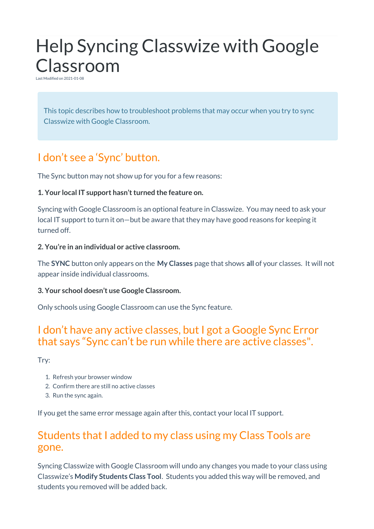# Help Syncing Classwize with Google Classroom

Last Modified on 2021-01-08

This topic describes how to troubleshoot problems that may occur when you try to sync Classwize with Google Classroom.

## I don't see a 'Sync' button.

The Sync button may not show up for you for a few reasons:

#### **1. Your local IT support hasn't turned the feature on.**

Syncing with Google Classroom is an optional feature in Classwize. You may need to ask your local IT support to turn it on—but be aware that they may have good reasons for keeping it turned off.

#### **2. You're in an individual or active classroom.**

The **SYNC** button only appears on the **My Classes** page that shows **all** of your classes. It will not appear inside individual classrooms.

#### **3. Your school doesn't use Google Classroom.**

Only schools using Google Classroom can use the Sync feature.

## I don't have any active classes, but I got a Google Sync Error that says "Sync can't be run while there are active classes".

Try:

- 1. Refresh your browser window
- 2. Confirm there are still no active classes
- 3. Run the sync again.

If you get the same error message again after this, contact your local IT support.

## Students that I added to my class using my Class Tools are gone.

Syncing Classwize with Google Classroom will undo any changes you made to your class using Classwize's **Modify Students Class Tool**. Students you added this way will be removed, and students you removed will be added back.